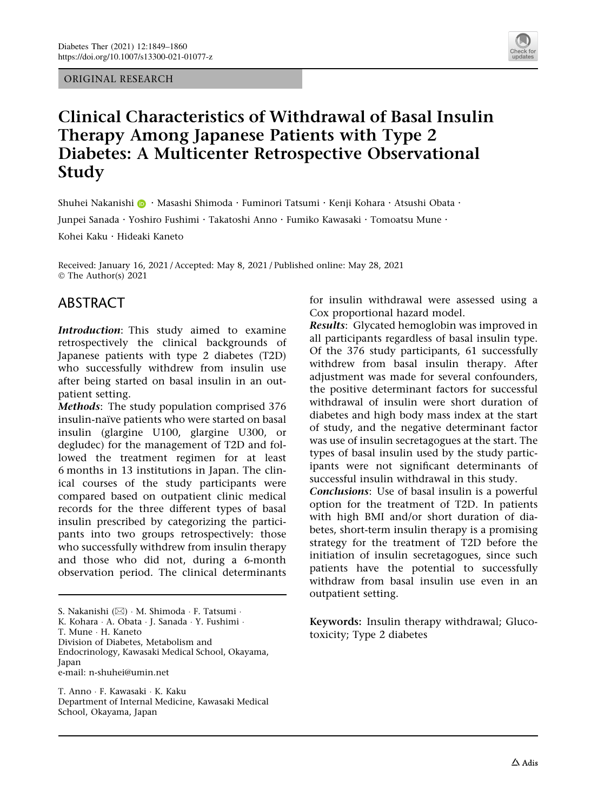ORIGINAL RESEARCH



# Clinical Characteristics of Withdrawal of Basal Insulin Therapy Among Japanese Patients with Type 2 Diabetes: A Multicenter Retrospective Observational Study

Shuhei Nakanishi  $\bigcirc$  · Masashi Shimoda · Fuminori Tatsumi · Kenji Kohara · Atsushi Obata ·

Junpei Sanada . Yoshiro Fushimi . Takatoshi Anno . Fumiko Kawasaki . Tomoatsu Mune .

Kohei Kaku . Hideaki Kaneto

Received: January 16, 2021 / Accepted: May 8, 2021 / Published online: May 28, 2021 © The Author(s) 2021

# ABSTRACT

Introduction: This study aimed to examine retrospectively the clinical backgrounds of Japanese patients with type 2 diabetes (T2D) who successfully withdrew from insulin use after being started on basal insulin in an outpatient setting.

Methods: The study population comprised 376 insulin-naïve patients who were started on basal insulin (glargine U100, glargine U300, or degludec) for the management of T2D and followed the treatment regimen for at least 6 months in 13 institutions in Japan. The clinical courses of the study participants were compared based on outpatient clinic medical records for the three different types of basal insulin prescribed by categorizing the participants into two groups retrospectively: those who successfully withdrew from insulin therapy and those who did not, during a 6-month observation period. The clinical determinants

S. Nakanishi (&) - M. Shimoda - F. Tatsumi - K. Kohara - A. Obata - J. Sanada - Y. Fushimi - T. Mune - H. Kaneto Division of Diabetes, Metabolism and Endocrinology, Kawasaki Medical School, Okayama, **Japan** e-mail: n-shuhei@umin.net

T. Anno - F. Kawasaki - K. Kaku Department of Internal Medicine, Kawasaki Medical School, Okayama, Japan

for insulin withdrawal were assessed using a Cox proportional hazard model.

Results: Glycated hemoglobin was improved in all participants regardless of basal insulin type. Of the 376 study participants, 61 successfully withdrew from basal insulin therapy. After adjustment was made for several confounders, the positive determinant factors for successful withdrawal of insulin were short duration of diabetes and high body mass index at the start of study, and the negative determinant factor was use of insulin secretagogues at the start. The types of basal insulin used by the study participants were not significant determinants of successful insulin withdrawal in this study. Conclusions: Use of basal insulin is a powerful option for the treatment of T2D. In patients with high BMI and/or short duration of diabetes, short-term insulin therapy is a promising strategy for the treatment of T2D before the initiation of insulin secretagogues, since such patients have the potential to successfully

Keywords: Insulin therapy withdrawal; Glucotoxicity; Type 2 diabetes

withdraw from basal insulin use even in an

outpatient setting.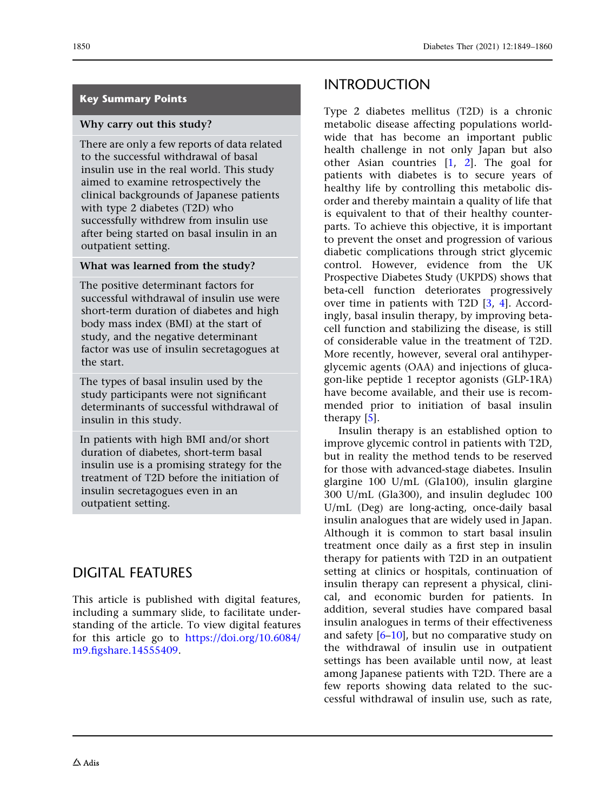### Key Summary Points

#### Why carry out this study?

There are only a few reports of data related to the successful withdrawal of basal insulin use in the real world. This study aimed to examine retrospectively the clinical backgrounds of Japanese patients with type 2 diabetes (T2D) who successfully withdrew from insulin use after being started on basal insulin in an outpatient setting.

#### What was learned from the study?

The positive determinant factors for successful withdrawal of insulin use were short-term duration of diabetes and high body mass index (BMI) at the start of study, and the negative determinant factor was use of insulin secretagogues at the start.

The types of basal insulin used by the study participants were not significant determinants of successful withdrawal of insulin in this study.

In patients with high BMI and/or short duration of diabetes, short-term basal insulin use is a promising strategy for the treatment of T2D before the initiation of insulin secretagogues even in an outpatient setting.

# DIGITAL FEATURES

This article is published with digital features, including a summary slide, to facilitate understanding of the article. To view digital features for this article go to [https://doi.org/10.6084/](https://doi.org/10.6084/m9.figshare.14555409) [m9.figshare.14555409.](https://doi.org/10.6084/m9.figshare.14555409)

# INTRODUCTION

Type 2 diabetes mellitus (T2D) is a chronic metabolic disease affecting populations worldwide that has become an important public health challenge in not only Japan but also other Asian countries [[1](#page-11-0), [2\]](#page-11-0). The goal for patients with diabetes is to secure years of healthy life by controlling this metabolic disorder and thereby maintain a quality of life that is equivalent to that of their healthy counterparts. To achieve this objective, it is important to prevent the onset and progression of various diabetic complications through strict glycemic control. However, evidence from the UK Prospective Diabetes Study (UKPDS) shows that beta-cell function deteriorates progressively over time in patients with T2D [[3,](#page-11-0) [4](#page-11-0)]. Accordingly, basal insulin therapy, by improving betacell function and stabilizing the disease, is still of considerable value in the treatment of T2D. More recently, however, several oral antihyperglycemic agents (OAA) and injections of glucagon-like peptide 1 receptor agonists (GLP-1RA) have become available, and their use is recommended prior to initiation of basal insulin therapy [\[5](#page-11-0)].

Insulin therapy is an established option to improve glycemic control in patients with T2D, but in reality the method tends to be reserved for those with advanced-stage diabetes. Insulin glargine 100 U/mL (Gla100), insulin glargine 300 U/mL (Gla300), and insulin degludec 100 U/mL (Deg) are long-acting, once-daily basal insulin analogues that are widely used in Japan. Although it is common to start basal insulin treatment once daily as a first step in insulin therapy for patients with T2D in an outpatient setting at clinics or hospitals, continuation of insulin therapy can represent a physical, clinical, and economic burden for patients. In addition, several studies have compared basal insulin analogues in terms of their effectiveness and safety  $[6-10]$ , but no comparative study on the withdrawal of insulin use in outpatient settings has been available until now, at least among Japanese patients with T2D. There are a few reports showing data related to the successful withdrawal of insulin use, such as rate,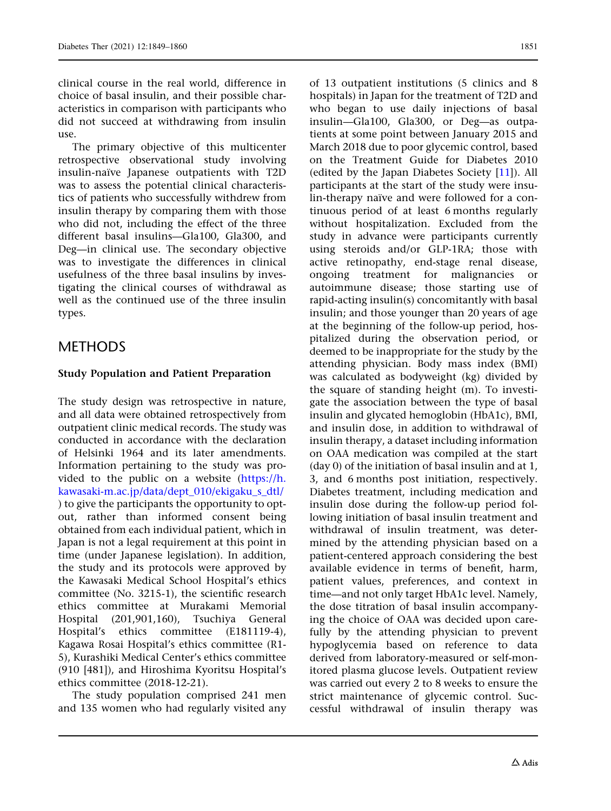clinical course in the real world, difference in choice of basal insulin, and their possible characteristics in comparison with participants who did not succeed at withdrawing from insulin use.

The primary objective of this multicenter retrospective observational study involving insulin-naïve Japanese outpatients with T2D was to assess the potential clinical characteristics of patients who successfully withdrew from insulin therapy by comparing them with those who did not, including the effect of the three different basal insulins—Gla100, Gla300, and Deg—in clinical use. The secondary objective was to investigate the differences in clinical usefulness of the three basal insulins by investigating the clinical courses of withdrawal as well as the continued use of the three insulin types.

# METHODS

## Study Population and Patient Preparation

The study design was retrospective in nature, and all data were obtained retrospectively from outpatient clinic medical records. The study was conducted in accordance with the declaration of Helsinki 1964 and its later amendments. Information pertaining to the study was provided to the public on a website [\(https://h.](https://h.kawasaki-m.ac.jp/data/dept_010/ekigaku_s_dtl/) [kawasaki-m.ac.jp/data/dept\\_010/ekigaku\\_s\\_dtl/](https://h.kawasaki-m.ac.jp/data/dept_010/ekigaku_s_dtl/) ) to give the participants the opportunity to optout, rather than informed consent being obtained from each individual patient, which in Japan is not a legal requirement at this point in time (under Japanese legislation). In addition, the study and its protocols were approved by the Kawasaki Medical School Hospital's ethics committee (No. 3215-1), the scientific research ethics committee at Murakami Memorial Hospital (201,901,160), Tsuchiya General Hospital's ethics committee (E181119-4), Kagawa Rosai Hospital's ethics committee (R1- 5), Kurashiki Medical Center's ethics committee (910 [481]), and Hiroshima Kyoritsu Hospital's ethics committee (2018-12-21).

The study population comprised 241 men and 135 women who had regularly visited any of 13 outpatient institutions (5 clinics and 8 hospitals) in Japan for the treatment of T2D and who began to use daily injections of basal insulin—Gla100, Gla300, or Deg—as outpatients at some point between January 2015 and March 2018 due to poor glycemic control, based on the Treatment Guide for Diabetes 2010 (edited by the Japan Diabetes Society [\[11\]](#page-11-0)). All participants at the start of the study were insulin-therapy naïve and were followed for a continuous period of at least 6 months regularly without hospitalization. Excluded from the study in advance were participants currently using steroids and/or GLP-1RA; those with active retinopathy, end-stage renal disease, ongoing treatment for malignancies or autoimmune disease; those starting use of rapid-acting insulin(s) concomitantly with basal insulin; and those younger than 20 years of age at the beginning of the follow-up period, hospitalized during the observation period, or deemed to be inappropriate for the study by the attending physician. Body mass index (BMI) was calculated as bodyweight (kg) divided by the square of standing height (m). To investigate the association between the type of basal insulin and glycated hemoglobin (HbA1c), BMI, and insulin dose, in addition to withdrawal of insulin therapy, a dataset including information on OAA medication was compiled at the start (day 0) of the initiation of basal insulin and at 1, 3, and 6 months post initiation, respectively. Diabetes treatment, including medication and insulin dose during the follow-up period following initiation of basal insulin treatment and withdrawal of insulin treatment, was determined by the attending physician based on a patient-centered approach considering the best available evidence in terms of benefit, harm, patient values, preferences, and context in time—and not only target HbA1c level. Namely, the dose titration of basal insulin accompanying the choice of OAA was decided upon carefully by the attending physician to prevent hypoglycemia based on reference to data derived from laboratory-measured or self-monitored plasma glucose levels. Outpatient review was carried out every 2 to 8 weeks to ensure the strict maintenance of glycemic control. Successful withdrawal of insulin therapy was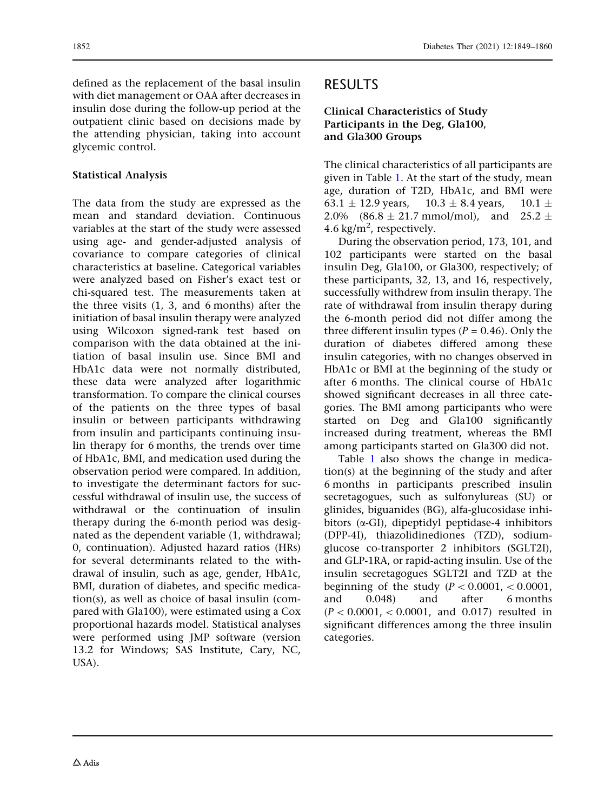defined as the replacement of the basal insulin with diet management or OAA after decreases in insulin dose during the follow-up period at the outpatient clinic based on decisions made by the attending physician, taking into account glycemic control.

## Statistical Analysis

The data from the study are expressed as the mean and standard deviation. Continuous variables at the start of the study were assessed using age- and gender-adjusted analysis of covariance to compare categories of clinical characteristics at baseline. Categorical variables were analyzed based on Fisher's exact test or chi-squared test. The measurements taken at the three visits (1, 3, and 6 months) after the initiation of basal insulin therapy were analyzed using Wilcoxon signed-rank test based on comparison with the data obtained at the initiation of basal insulin use. Since BMI and HbA1c data were not normally distributed, these data were analyzed after logarithmic transformation. To compare the clinical courses of the patients on the three types of basal insulin or between participants withdrawing from insulin and participants continuing insulin therapy for 6 months, the trends over time of HbA1c, BMI, and medication used during the observation period were compared. In addition, to investigate the determinant factors for successful withdrawal of insulin use, the success of withdrawal or the continuation of insulin therapy during the 6-month period was designated as the dependent variable (1, withdrawal; 0, continuation). Adjusted hazard ratios (HRs) for several determinants related to the withdrawal of insulin, such as age, gender, HbA1c, BMI, duration of diabetes, and specific medication(s), as well as choice of basal insulin (compared with Gla100), were estimated using a Cox proportional hazards model. Statistical analyses were performed using JMP software (version 13.2 for Windows; SAS Institute, Cary, NC, USA).

# RESULTS

## Clinical Characteristics of Study Participants in the Deg, Gla100, and Gla300 Groups

The clinical characteristics of all participants are given in Table [1.](#page-4-0) At the start of the study, mean age, duration of T2D, HbA1c, and BMI were 63.1  $\pm$  12.9 years, 10.3  $\pm$  8.4 years, 10.1  $\pm$ 2.0%  $(86.8 \pm 21.7 \text{ mmol/mol})$ , and  $25.2 \pm$ 4.6 kg/m<sup>2</sup>, respectively.

During the observation period, 173, 101, and 102 participants were started on the basal insulin Deg, Gla100, or Gla300, respectively; of these participants, 32, 13, and 16, respectively, successfully withdrew from insulin therapy. The rate of withdrawal from insulin therapy during the 6-month period did not differ among the three different insulin types ( $P = 0.46$ ). Only the duration of diabetes differed among these insulin categories, with no changes observed in HbA1c or BMI at the beginning of the study or after 6 months. The clinical course of HbA1c showed significant decreases in all three categories. The BMI among participants who were started on Deg and Gla100 significantly increased during treatment, whereas the BMI among participants started on Gla300 did not.

Table [1](#page-4-0) also shows the change in medication(s) at the beginning of the study and after 6 months in participants prescribed insulin secretagogues, such as sulfonylureas (SU) or glinides, biguanides (BG), alfa-glucosidase inhibitors  $(\alpha$ -GI), dipeptidyl peptidase-4 inhibitors (DPP-4I), thiazolidinediones (TZD), sodiumglucose co-transporter 2 inhibitors (SGLT2I), and GLP-1RA, or rapid-acting insulin. Use of the insulin secretagogues SGLT2I and TZD at the beginning of the study  $(P < 0.0001, \lt 0.0001,$ and 0.048) and after 6 months  $(P < 0.0001, \, < 0.0001, \,$  and 0.017) resulted in significant differences among the three insulin categories.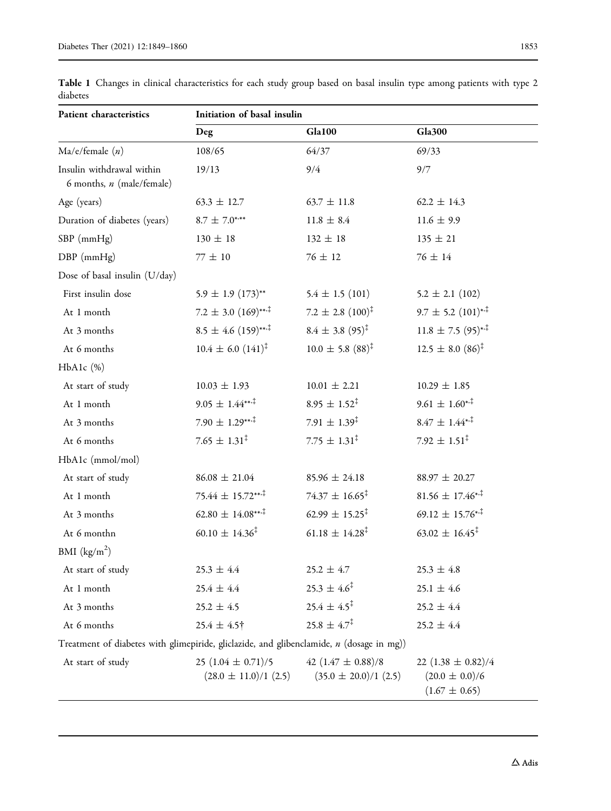| Patient characteristics                                                                    | Initiation of basal insulin                         |                                                     |                                                                   |  |
|--------------------------------------------------------------------------------------------|-----------------------------------------------------|-----------------------------------------------------|-------------------------------------------------------------------|--|
|                                                                                            | <b>Deg</b>                                          | <b>Gla100</b>                                       | <b>Gla300</b>                                                     |  |
| Ma/e/female(n)                                                                             | 108/65                                              | 64/37                                               | 69/33                                                             |  |
| Insulin withdrawal within<br>6 months, n (male/female)                                     | 19/13                                               | 9/4                                                 | 9/7                                                               |  |
| Age (years)                                                                                | $63.3 \pm 12.7$                                     | $63.7 \pm 11.8$                                     | $62.2 \pm 14.3$                                                   |  |
| Duration of diabetes (years)                                                               | $8.7 \pm 7.0***$                                    | $11.8 \pm 8.4$                                      | $11.6 \pm 9.9$                                                    |  |
| $SBP$ (mm $Hg$ )                                                                           | $130 \pm 18$                                        | $132 \pm 18$                                        | $135 \pm 21$                                                      |  |
| DBP (mmHg)                                                                                 | $77\,\pm\,10$                                       | $76 \pm 12$                                         | $76 \pm 14$                                                       |  |
| Dose of basal insulin (U/day)                                                              |                                                     |                                                     |                                                                   |  |
| First insulin dose                                                                         | $5.9 \pm 1.9 \ (173)^{**}$                          | $5.4 \pm 1.5$ (101)                                 | $5.2 \pm 2.1$ (102)                                               |  |
| At 1 month                                                                                 | $7.2 \pm 3.0 \ (169)^{***}$                         | $7.2 \pm 2.8~(100)^{\ddagger}$                      | $9.7 \pm 5.2 \ (101)^{*,1}$                                       |  |
| At 3 months                                                                                | $8.5 \pm 4.6 \ (159)^{***}$                         | $8.4 \pm 3.8~(95)^{\ddagger}$                       | $11.8 \pm 7.5 \ (95)^{*,1}$                                       |  |
| At 6 months                                                                                | $10.4 \pm 6.0 \ (141)^{\ddagger}$                   | $10.0 \pm 5.8$ $(88)^{\ddagger}$                    | $12.5 \pm 8.0 \ (86)^{\ddagger}$                                  |  |
| $HbA1c$ $(\%)$                                                                             |                                                     |                                                     |                                                                   |  |
| At start of study                                                                          | $10.03 \pm 1.93$                                    | $10.01 \pm 2.21$                                    | $10.29 \pm 1.85$                                                  |  |
| At 1 month                                                                                 | $9.05 \pm 1.44***$                                  | $8.95 \pm 1.52^{\ddagger}$                          | $9.61 \pm 1.60^{**}$                                              |  |
| At 3 months                                                                                | $7.90 \pm 1.29***$                                  | 7.91 $\pm$ 1.39 <sup>‡</sup>                        | $8.47 \pm 1.44^{*.^{\ddagger}}$                                   |  |
| At 6 months                                                                                | $7.65 \pm 1.31^{\ddagger}$                          | $7.75 \pm 1.31^{\ddagger}$                          | $7.92 \pm 1.51^{\ddagger}$                                        |  |
| HbA1c (mmol/mol)                                                                           |                                                     |                                                     |                                                                   |  |
| At start of study                                                                          | $86.08 \pm 21.04$                                   | $85.96 \pm 24.18$                                   | $88.97 \pm 20.27$                                                 |  |
| At 1 month                                                                                 | $75.44 \pm 15.72***$                                | $74.37 \pm 16.65^{\ddagger}$                        | $81.56 \pm 17.46^{*,}$                                            |  |
| At 3 months                                                                                | $62.80 \pm 14.08***$                                | 62.99 $\pm$ 15.25 <sup>‡</sup>                      | $69.12 \pm 15.76^{*,}$                                            |  |
| At 6 monthn                                                                                | $60.10 \pm 14.36^{\ddagger}$                        | $61.18 \pm 14.28^{\ddagger}$                        | $63.02 \pm 16.45^{\ddagger}$                                      |  |
| BMI $(kg/m2)$                                                                              |                                                     |                                                     |                                                                   |  |
| At start of study                                                                          | $25.3 \pm 4.4$                                      | $25.2 \pm 4.7$                                      | $25.3 \pm 4.8$                                                    |  |
| At 1 month                                                                                 | $25.4 \pm 4.4$                                      | $25.3 \pm 4.6^{\ddagger}$                           | $25.1 \pm 4.6$                                                    |  |
| At 3 months                                                                                | $25.2 \pm 4.5$                                      | $25.4 \pm 4.5^{\ddagger}$                           | $25.2 \pm 4.4$                                                    |  |
| At 6 months                                                                                | $25.4 \pm 4.5$ †                                    | $25.8 \pm 4.7^{\ddagger}$                           | $25.2 \pm 4.4$                                                    |  |
| Treatment of diabetes with glimepiride, gliclazide, and glibenclamide, $n$ (dosage in mg)) |                                                     |                                                     |                                                                   |  |
| At start of study                                                                          | 25 $(1.04 \pm 0.71)/5$<br>$(28.0 \pm 11.0)/1$ (2.5) | 42 $(1.47 \pm 0.88)/8$<br>$(35.0 \pm 20.0)/1$ (2.5) | 22 $(1.38 \pm 0.82)/4$<br>$(20.0 \pm 0.0)/6$<br>$(1.67 \pm 0.65)$ |  |

<span id="page-4-0"></span>Table 1 Changes in clinical characteristics for each study group based on basal insulin type among patients with type 2 diabetes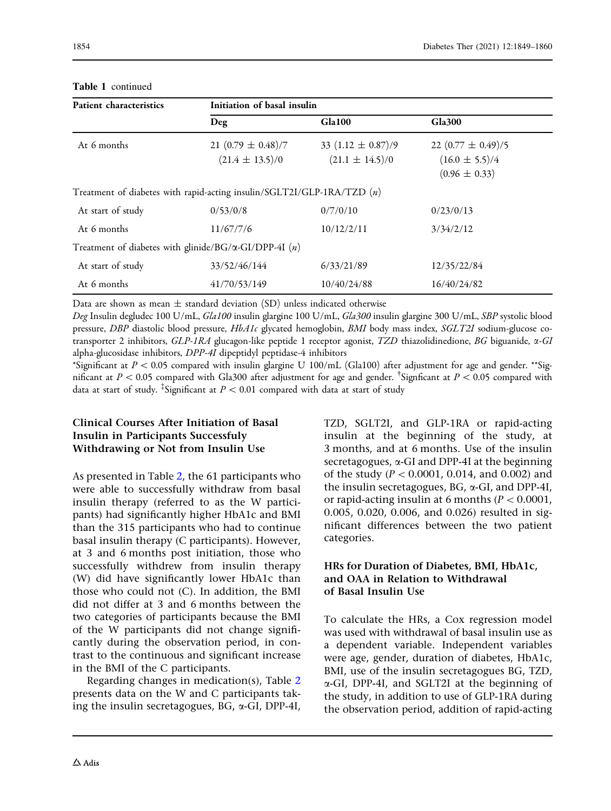| <b>Patient characteristics</b>                                           | Initiation of basal insulin                   |                                               |                                                                   |  |
|--------------------------------------------------------------------------|-----------------------------------------------|-----------------------------------------------|-------------------------------------------------------------------|--|
|                                                                          | Deg                                           | Gla100                                        | <b>Gla300</b>                                                     |  |
| At 6 months                                                              | 21 $(0.79 \pm 0.48)/7$<br>$(21.4 \pm 13.5)/0$ | 33 $(1.12 \pm 0.87)/9$<br>$(21.1 \pm 14.5)/0$ | 22 $(0.77 \pm 0.49)/5$<br>$(16.0 \pm 5.5)/4$<br>$(0.96 \pm 0.33)$ |  |
| Treatment of diabetes with rapid-acting insulin/SGLT2I/GLP-1RA/TZD $(n)$ |                                               |                                               |                                                                   |  |
| At start of study                                                        | 0/53/0/8                                      | 0/7/0/10                                      | 0/23/0/13                                                         |  |
| At 6 months                                                              | 11/67/7/6                                     | 10/12/2/11                                    | 3/34/2/12                                                         |  |
| Treatment of diabetes with glinide/BG/ $\alpha$ -GI/DPP-4I (n)           |                                               |                                               |                                                                   |  |
| At start of study                                                        | 33/52/46/144                                  | 6/33/21/89                                    | 12/35/22/84                                                       |  |
| At 6 months                                                              | 41/70/53/149                                  | 10/40/24/88                                   | 16/40/24/82                                                       |  |

#### Table 1 continued

Data are shown as mean  $\pm$  standard deviation (SD) unless indicated otherwise

Deg Insulin degludec 100 U/mL, Gla100 insulin glargine 100 U/mL, Gla300 insulin glargine 300 U/mL, SBP systolic blood pressure, DBP diastolic blood pressure, HbA1c glycated hemoglobin, BMI body mass index, SGLT2I sodium-glucose cotransporter 2 inhibitors,  $GLP-IRA$  glucagon-like peptide 1 receptor agonist, TZD thiazolidinedione, BG biguanide,  $\alpha$ -GI alpha-glucosidase inhibitors, DPP-4I dipeptidyl peptidase-4 inhibitors

\*Significant at  $P\lt 0.05$  compared with insulin glargine U 100/mL (Gla100) after adjustment for age and gender. \*\*Significant at  $P < 0.05$  compared with Gla300 after adjustment for age and gender. <sup>†</sup>Signficant at  $P < 0.05$  compared with data at start of study. <sup>‡</sup>Significant at  $P < 0.01$  compared with data at start of study

## Clinical Courses After Initiation of Basal Insulin in Participants Successfuly Withdrawing or Not from Insulin Use

As presented in Table [2,](#page-6-0) the 61 participants who were able to successfully withdraw from basal insulin therapy (referred to as the W participants) had significantly higher HbA1c and BMI than the 315 participants who had to continue basal insulin therapy (C participants). However, at 3 and 6 months post initiation, those who successfully withdrew from insulin therapy (W) did have significantly lower HbA1c than those who could not (C). In addition, the BMI did not differ at 3 and 6 months between the two categories of participants because the BMI of the W participants did not change significantly during the observation period, in contrast to the continuous and significant increase in the BMI of the C participants.

Regarding changes in medication(s), Table [2](#page-6-0) presents data on the W and C participants taking the insulin secretagogues, BG,  $\alpha$ -GI, DPP-4I, TZD, SGLT2I, and GLP-1RA or rapid-acting insulin at the beginning of the study, at 3 months, and at 6 months. Use of the insulin secretagogues,  $\alpha$ -GI and DPP-4I at the beginning of the study ( $P < 0.0001$ , 0.014, and 0.002) and the insulin secretagogues, BG, a-GI, and DPP-4I, or rapid-acting insulin at 6 months ( $P < 0.0001$ , 0.005, 0.020, 0.006, and 0.026) resulted in significant differences between the two patient categories.

## HRs for Duration of Diabetes, BMI, HbA1c, and OAA in Relation to Withdrawal of Basal Insulin Use

To calculate the HRs, a Cox regression model was used with withdrawal of basal insulin use as a dependent variable. Independent variables were age, gender, duration of diabetes, HbA1c, BMI, use of the insulin secretagogues BG, TZD, a-GI, DPP-4I, and SGLT2I at the beginning of the study, in addition to use of GLP-1RA during the observation period, addition of rapid-acting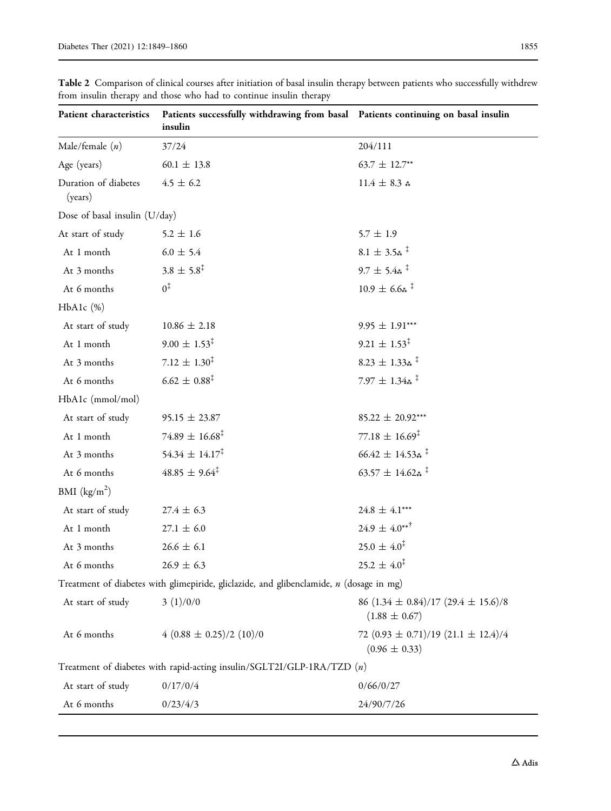| Patient characteristics         | Patients successfully withdrawing from basal Patients continuing on basal insulin<br>insulin |                                                                  |
|---------------------------------|----------------------------------------------------------------------------------------------|------------------------------------------------------------------|
| Male/female $(n)$               | 37/24                                                                                        | 204/111                                                          |
| Age (years)                     | $60.1 \pm 13.8$                                                                              | $63.7 \pm 12.7***$                                               |
| Duration of diabetes<br>(years) | $4.5 \pm 6.2$                                                                                | 11.4 $\pm$ 8.3 $*$                                               |
| Dose of basal insulin (U/day)   |                                                                                              |                                                                  |
| At start of study               | $5.2 \pm 1.6$                                                                                | $5.7 \pm 1.9$                                                    |
| At 1 month                      | $6.0\,\pm\,5.4$                                                                              | $8.1 \pm 3.5*$ <sup>‡</sup>                                      |
| At 3 months                     | $3.8 \pm 5.8^{\ddagger}$                                                                     | $9.7 \pm 5.4$ *                                                  |
| At 6 months                     | $0^{\ddagger}$                                                                               | $10.9 \pm 6.6$ **                                                |
| $HbA1c$ (%)                     |                                                                                              |                                                                  |
| At start of study               | $10.86 \pm 2.18$                                                                             | $9.95 \pm 1.91***$                                               |
| At 1 month                      | $9.00 \pm 1.53^{\ddagger}$                                                                   | $9.21 \pm 1.53^{\ddagger}$                                       |
| At 3 months                     | 7.12 $\pm$ 1.30 <sup>‡</sup>                                                                 | $8.23 \pm 1.33*$ <sup>‡</sup>                                    |
| At 6 months                     | $6.62 \pm 0.88^{\ddagger}$                                                                   | 7.97 $\pm$ 1.34 $\ast$ <sup>†</sup>                              |
| HbA1c (mmol/mol)                |                                                                                              |                                                                  |
| At start of study               | $95.15 \pm 23.87$                                                                            | $85.22 \pm 20.92***$                                             |
| At 1 month                      | $74.89 \pm 16.68^{\ddagger}$                                                                 | $77.18 \pm 16.69^{\ddagger}$                                     |
| At 3 months                     | $54.34 \pm 14.17^{\ddagger}$                                                                 | $66.42 \pm 14.53*$ <sup>‡</sup>                                  |
| At 6 months                     | $48.85 \pm 9.64^{\ddagger}$                                                                  | 63.57 $\pm$ 14.62 $\ast$ <sup>†</sup>                            |
| BMI $(kg/m^2)$                  |                                                                                              |                                                                  |
| At start of study               | $27.4 \pm 6.3$                                                                               | 24.8 $\pm$ 4.1***                                                |
| At 1 month                      | $27.1 \pm 6.0$                                                                               | $24.9 \pm 4.0***$                                                |
| At 3 months                     | $26.6 \pm 6.1$                                                                               | $25.0 \pm 4.0^{\ddagger}$                                        |
| At 6 months                     | $26.9 \pm 6.3$                                                                               | $25.2 \pm 4.0^{\ddagger}$                                        |
|                                 | Treatment of diabetes with glimepiride, gliclazide, and glibenclamide, $n$ (dosage in mg)    |                                                                  |
| At start of study               | 3(1)/0/0                                                                                     | 86 $(1.34 \pm 0.84)/17$ $(29.4 \pm 15.6)/8$<br>$(1.88 \pm 0.67)$ |
| At 6 months                     | $4(0.88 \pm 0.25)/2(10)/0$                                                                   | 72 $(0.93 \pm 0.71)/19$ $(21.1 \pm 12.4)/4$<br>$(0.96 \pm 0.33)$ |
|                                 | Treatment of diabetes with rapid-acting insulin/SGLT2I/GLP-1RA/TZD $(n)$                     |                                                                  |
| At start of study               | 0/17/0/4                                                                                     | 0/66/0/27                                                        |
| At 6 months                     | 0/23/4/3                                                                                     | 24/90/7/26                                                       |

<span id="page-6-0"></span>Table 2 Comparison of clinical courses after initiation of basal insulin therapy between patients who successfully withdrew from insulin therapy and those who had to continue insulin therapy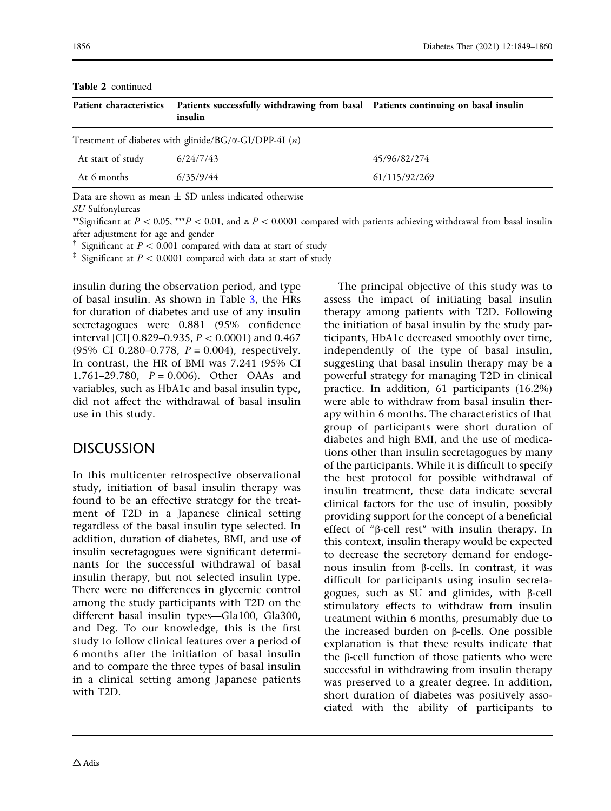|                   | Patient characteristics Patients successfully withdrawing from basal Patients continuing on basal insulin<br>insulin |               |
|-------------------|----------------------------------------------------------------------------------------------------------------------|---------------|
|                   | Treatment of diabetes with glinide/BG/ $\alpha$ -GI/DPP-4I (n)                                                       |               |
| At start of study | 6/24/7/43                                                                                                            | 45/96/82/274  |
| At 6 months       | 6/35/9/44                                                                                                            | 61/115/92/269 |
| $\sqrt{ }$        |                                                                                                                      |               |

Table 2 continued

Data are shown as mean  $\pm$  SD unless indicated otherwise

SU Sulfonylureas

\*\*Significant at  $P < 0.05$ , \*\*\* $P < 0.01$ , and  $P < 0.0001$  compared with patients achieving withdrawal from basal insulin after adjustment for age and gender

<sup>†</sup> Significant at  $P < 0.001$  compared with data at start of study

 $\ddot{ }$  Significant at  $P < 0.0001$  compared with data at start of study

insulin during the observation period, and type of basal insulin. As shown in Table [3,](#page-8-0) the HRs for duration of diabetes and use of any insulin secretagogues were 0.881 (95% confidence interval [CI]  $0.829 - 0.935$ ,  $P < 0.0001$  and  $0.467$ (95% CI 0.280–0.778,  $P = 0.004$ ), respectively. In contrast, the HR of BMI was 7.241 (95% CI 1.761–29.780,  $P = 0.006$ ). Other OAAs and variables, such as HbA1c and basal insulin type, did not affect the withdrawal of basal insulin use in this study.

# **DISCUSSION**

In this multicenter retrospective observational study, initiation of basal insulin therapy was found to be an effective strategy for the treatment of T2D in a Japanese clinical setting regardless of the basal insulin type selected. In addition, duration of diabetes, BMI, and use of insulin secretagogues were significant determinants for the successful withdrawal of basal insulin therapy, but not selected insulin type. There were no differences in glycemic control among the study participants with T2D on the different basal insulin types—Gla100, Gla300, and Deg. To our knowledge, this is the first study to follow clinical features over a period of 6 months after the initiation of basal insulin and to compare the three types of basal insulin in a clinical setting among Japanese patients with T2D.

The principal objective of this study was to assess the impact of initiating basal insulin therapy among patients with T2D. Following the initiation of basal insulin by the study participants, HbA1c decreased smoothly over time, independently of the type of basal insulin, suggesting that basal insulin therapy may be a powerful strategy for managing T2D in clinical practice. In addition, 61 participants (16.2%) were able to withdraw from basal insulin therapy within 6 months. The characteristics of that group of participants were short duration of diabetes and high BMI, and the use of medications other than insulin secretagogues by many of the participants. While it is difficult to specify the best protocol for possible withdrawal of insulin treatment, these data indicate several clinical factors for the use of insulin, possibly providing support for the concept of a beneficial effect of " $\beta$ -cell rest" with insulin therapy. In this context, insulin therapy would be expected to decrease the secretory demand for endogenous insulin from  $\beta$ -cells. In contrast, it was difficult for participants using insulin secretagogues, such as SU and glinides, with  $\beta$ -cell stimulatory effects to withdraw from insulin treatment within 6 months, presumably due to the increased burden on  $\beta$ -cells. One possible explanation is that these results indicate that the  $\beta$ -cell function of those patients who were successful in withdrawing from insulin therapy was preserved to a greater degree. In addition, short duration of diabetes was positively associated with the ability of participants to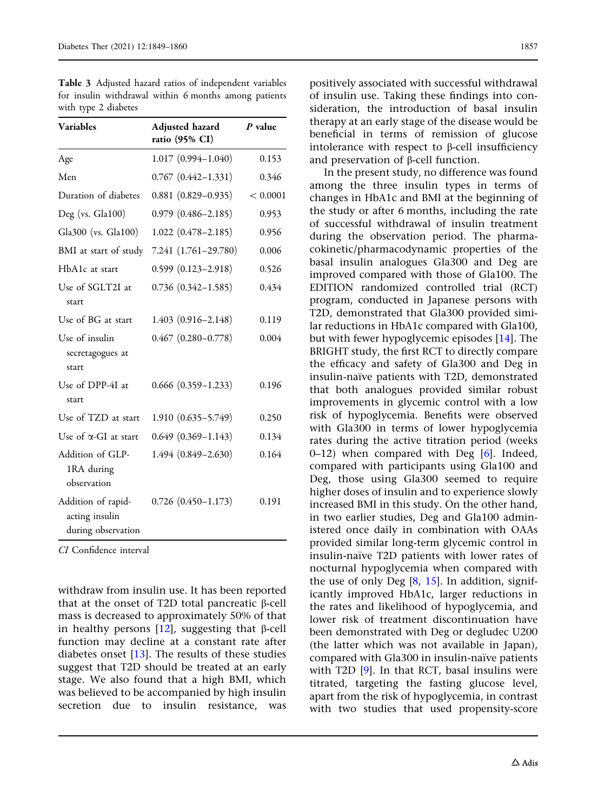| <b>Variables</b>                                           | Adjusted hazard<br>ratio (95% CI) | $P$ value |
|------------------------------------------------------------|-----------------------------------|-----------|
| Age                                                        | 1.017 (0.994-1.040)               | 0.153     |
| Men                                                        | $0.767$ $(0.442 - 1.331)$         | 0.346     |
| Duration of diabetes                                       | $0.881(0.829 - 0.935)$            | < 0.0001  |
| Deg (vs. Gla100)                                           | $0.979(0.486 - 2.185)$            | 0.953     |
| Gla300 (vs. Gla100)                                        | $1.022(0.478 - 2.185)$            | 0.956     |
| BMI at start of study                                      | 7.241 (1.761-29.780)              | 0.006     |
| HbA1c at start                                             | $0.599(0.123 - 2.918)$            | 0.526     |
| Use of SGLT2I at<br>start                                  | $0.736$ $(0.342 - 1.585)$         | 0.434     |
| Use of BG at start                                         | 1.403 (0.916-2.148)               | 0.119     |
| Use of insulin<br>secretagogues at<br>start                | $0.467$ $(0.280 - 0.778)$         | 0.004     |
| Use of DPP-4I at<br>start                                  | $0.666$ $(0.359 - 1.233)$         | 0.196     |
| Use of TZD at start                                        | $1.910(0.635 - 5.749)$            | 0.250     |
| Use of a-GI at start                                       | $0.649(0.369 - 1.143)$            | 0.134     |
| Addition of GLP-<br>1RA during<br>observation              | 1.494 (0.849-2.630)               | 0.164     |
| Addition of rapid-<br>acting insulin<br>during observation | $0.726$ $(0.450 - 1.173)$         | 0.191     |

<span id="page-8-0"></span>Table 3 Adjusted hazard ratios of independent variables for insulin withdrawal within 6 months among patients with type 2 diabetes

CI Confidence interval

withdraw from insulin use. It has been reported that at the onset of T2D total pancreatic  $\beta$ -cell mass is decreased to approximately 50% of that in healthy persons  $[12]$  $[12]$  $[12]$ , suggesting that  $\beta$ -cell function may decline at a constant rate after diabetes onset  $[13]$ . The results of these studies suggest that T2D should be treated at an early stage. We also found that a high BMI, which was believed to be accompanied by high insulin secretion due to insulin resistance, was

positively associated with successful withdrawal of insulin use. Taking these findings into consideration, the introduction of basal insulin therapy at an early stage of the disease would be beneficial in terms of remission of glucose intolerance with respect to  $\beta$ -cell insufficiency and preservation of b-cell function.

In the present study, no difference was found among the three insulin types in terms of changes in HbA1c and BMI at the beginning of the study or after 6 months, including the rate of successful withdrawal of insulin treatment during the observation period. The pharmacokinetic/pharmacodynamic properties of the basal insulin analogues Gla300 and Deg are improved compared with those of Gla100. The EDITION randomized controlled trial (RCT) program, conducted in Japanese persons with T2D, demonstrated that Gla300 provided similar reductions in HbA1c compared with Gla100, but with fewer hypoglycemic episodes [\[14\]](#page-11-0). The BRIGHT study, the first RCT to directly compare the efficacy and safety of Gla300 and Deg in insulin-naïve patients with T2D, demonstrated that both analogues provided similar robust improvements in glycemic control with a low risk of hypoglycemia. Benefits were observed with Gla300 in terms of lower hypoglycemia rates during the active titration period (weeks  $0-12$ ) when compared with Deg [[6](#page-11-0)]. Indeed, compared with participants using Gla100 and Deg, those using Gla300 seemed to require higher doses of insulin and to experience slowly increased BMI in this study. On the other hand, in two earlier studies, Deg and Gla100 administered once daily in combination with OAAs provided similar long-term glycemic control in insulin-naïve T2D patients with lower rates of nocturnal hypoglycemia when compared with the use of only Deg  $[8, 15]$  $[8, 15]$  $[8, 15]$ . In addition, significantly improved HbA1c, larger reductions in the rates and likelihood of hypoglycemia, and lower risk of treatment discontinuation have been demonstrated with Deg or degludec U200 (the latter which was not available in Japan), compared with Gla300 in insulin-naïve patients with T2D [\[9](#page-11-0)]. In that RCT, basal insulins were titrated, targeting the fasting glucose level, apart from the risk of hypoglycemia, in contrast with two studies that used propensity-score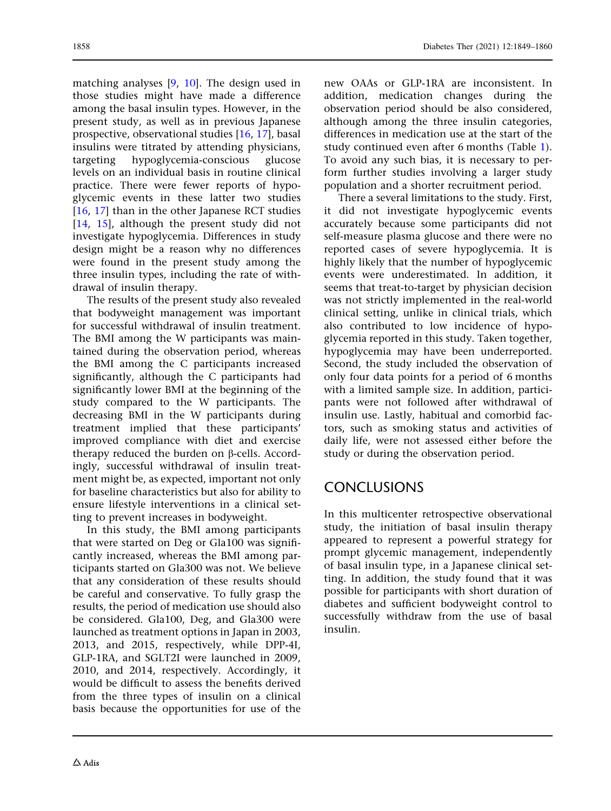matching analyses [\[9](#page-11-0), [10\]](#page-11-0). The design used in those studies might have made a difference among the basal insulin types. However, in the present study, as well as in previous Japanese prospective, observational studies [[16](#page-11-0), [17](#page-11-0)], basal insulins were titrated by attending physicians, targeting hypoglycemia-conscious glucose levels on an individual basis in routine clinical practice. There were fewer reports of hypoglycemic events in these latter two studies [\[16,](#page-11-0) [17](#page-11-0)] than in the other Japanese RCT studies [\[14,](#page-11-0) [15](#page-11-0)], although the present study did not investigate hypoglycemia. Differences in study design might be a reason why no differences were found in the present study among the three insulin types, including the rate of withdrawal of insulin therapy.

The results of the present study also revealed that bodyweight management was important for successful withdrawal of insulin treatment. The BMI among the W participants was maintained during the observation period, whereas the BMI among the C participants increased significantly, although the C participants had significantly lower BMI at the beginning of the study compared to the W participants. The decreasing BMI in the W participants during treatment implied that these participants' improved compliance with diet and exercise therapy reduced the burden on b-cells. Accordingly, successful withdrawal of insulin treatment might be, as expected, important not only for baseline characteristics but also for ability to ensure lifestyle interventions in a clinical setting to prevent increases in bodyweight.

In this study, the BMI among participants that were started on Deg or Gla100 was significantly increased, whereas the BMI among participants started on Gla300 was not. We believe that any consideration of these results should be careful and conservative. To fully grasp the results, the period of medication use should also be considered. Gla100, Deg, and Gla300 were launched as treatment options in Japan in 2003, 2013, and 2015, respectively, while DPP-4I, GLP-1RA, and SGLT2I were launched in 2009, 2010, and 2014, respectively. Accordingly, it would be difficult to assess the benefits derived from the three types of insulin on a clinical basis because the opportunities for use of the

new OAAs or GLP-1RA are inconsistent. In addition, medication changes during the observation period should be also considered, although among the three insulin categories, differences in medication use at the start of the study continued even after 6 months (Table [1](#page-4-0)). To avoid any such bias, it is necessary to perform further studies involving a larger study population and a shorter recruitment period.

There a several limitations to the study. First, it did not investigate hypoglycemic events accurately because some participants did not self-measure plasma glucose and there were no reported cases of severe hypoglycemia. It is highly likely that the number of hypoglycemic events were underestimated. In addition, it seems that treat-to-target by physician decision was not strictly implemented in the real-world clinical setting, unlike in clinical trials, which also contributed to low incidence of hypoglycemia reported in this study. Taken together, hypoglycemia may have been underreported. Second, the study included the observation of only four data points for a period of 6 months with a limited sample size. In addition, participants were not followed after withdrawal of insulin use. Lastly, habitual and comorbid factors, such as smoking status and activities of daily life, were not assessed either before the study or during the observation period.

# **CONCLUSIONS**

In this multicenter retrospective observational study, the initiation of basal insulin therapy appeared to represent a powerful strategy for prompt glycemic management, independently of basal insulin type, in a Japanese clinical setting. In addition, the study found that it was possible for participants with short duration of diabetes and sufficient bodyweight control to successfully withdraw from the use of basal insulin.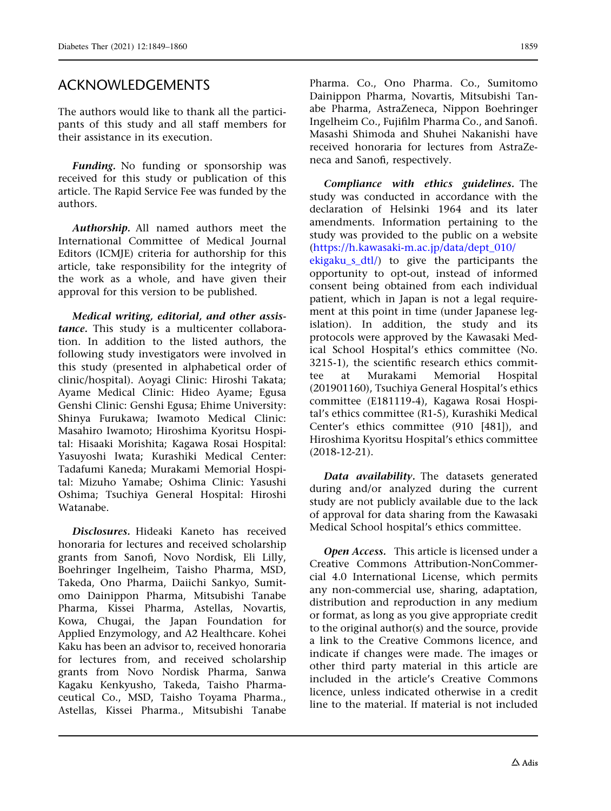The authors would like to thank all the participants of this study and all staff members for their assistance in its execution.

Funding. No funding or sponsorship was received for this study or publication of this article. The Rapid Service Fee was funded by the authors.

Authorship. All named authors meet the International Committee of Medical Journal Editors (ICMJE) criteria for authorship for this article, take responsibility for the integrity of the work as a whole, and have given their approval for this version to be published.

Medical writing, editorial, and other assistance. This study is a multicenter collaboration. In addition to the listed authors, the following study investigators were involved in this study (presented in alphabetical order of clinic/hospital). Aoyagi Clinic: Hiroshi Takata; Ayame Medical Clinic: Hideo Ayame; Egusa Genshi Clinic: Genshi Egusa; Ehime University: Shinya Furukawa; Iwamoto Medical Clinic: Masahiro Iwamoto; Hiroshima Kyoritsu Hospital: Hisaaki Morishita; Kagawa Rosai Hospital: Yasuyoshi Iwata; Kurashiki Medical Center: Tadafumi Kaneda; Murakami Memorial Hospital: Mizuho Yamabe; Oshima Clinic: Yasushi Oshima; Tsuchiya General Hospital: Hiroshi Watanabe.

Disclosures. Hideaki Kaneto has received honoraria for lectures and received scholarship grants from Sanofi, Novo Nordisk, Eli Lilly, Boehringer Ingelheim, Taisho Pharma, MSD, Takeda, Ono Pharma, Daiichi Sankyo, Sumitomo Dainippon Pharma, Mitsubishi Tanabe Pharma, Kissei Pharma, Astellas, Novartis, Kowa, Chugai, the Japan Foundation for Applied Enzymology, and A2 Healthcare. Kohei Kaku has been an advisor to, received honoraria for lectures from, and received scholarship grants from Novo Nordisk Pharma, Sanwa Kagaku Kenkyusho, Takeda, Taisho Pharmaceutical Co., MSD, Taisho Toyama Pharma., Astellas, Kissei Pharma., Mitsubishi Tanabe

Pharma. Co., Ono Pharma. Co., Sumitomo Dainippon Pharma, Novartis, Mitsubishi Tanabe Pharma, AstraZeneca, Nippon Boehringer Ingelheim Co., Fujifilm Pharma Co., and Sanofi. Masashi Shimoda and Shuhei Nakanishi have received honoraria for lectures from AstraZeneca and Sanofi, respectively.

Compliance with ethics guidelines. The study was conducted in accordance with the declaration of Helsinki 1964 and its later amendments. Information pertaining to the study was provided to the public on a website [\(https://h.kawasaki-m.ac.jp/data/dept\\_010/](https://h.kawasaki-m.ac.jp/data/dept_010/ekigaku_s_dtl/)

[ekigaku\\_s\\_dtl/](https://h.kawasaki-m.ac.jp/data/dept_010/ekigaku_s_dtl/)) to give the participants the opportunity to opt-out, instead of informed consent being obtained from each individual patient, which in Japan is not a legal requirement at this point in time (under Japanese legislation). In addition, the study and its protocols were approved by the Kawasaki Medical School Hospital's ethics committee (No. 3215-1), the scientific research ethics committee at Murakami Memorial Hospital (201901160), Tsuchiya General Hospital's ethics committee (E181119-4), Kagawa Rosai Hospital's ethics committee (R1-5), Kurashiki Medical Center's ethics committee (910 [481]), and Hiroshima Kyoritsu Hospital's ethics committee (2018-12-21).

Data availability. The datasets generated during and/or analyzed during the current study are not publicly available due to the lack of approval for data sharing from the Kawasaki Medical School hospital's ethics committee.

Open Access. This article is licensed under a Creative Commons Attribution-NonCommercial 4.0 International License, which permits any non-commercial use, sharing, adaptation, distribution and reproduction in any medium or format, as long as you give appropriate credit to the original author(s) and the source, provide a link to the Creative Commons licence, and indicate if changes were made. The images or other third party material in this article are included in the article's Creative Commons licence, unless indicated otherwise in a credit line to the material. If material is not included